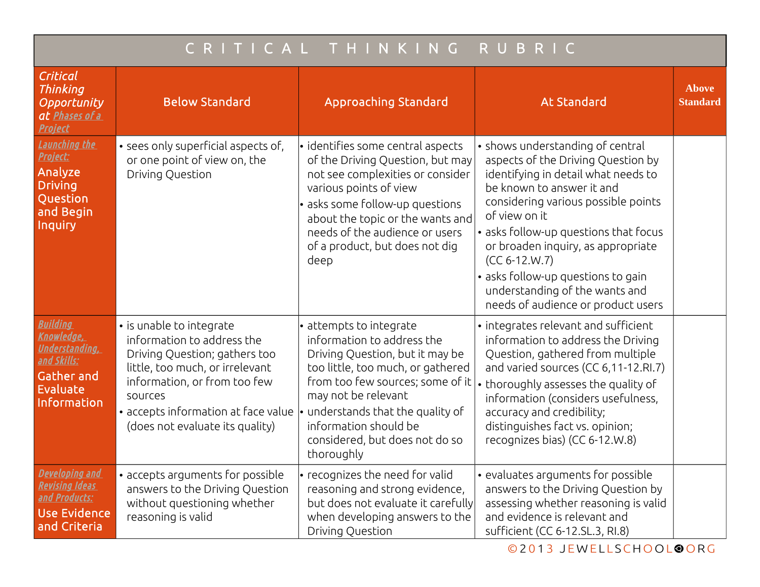| CRITICAL THINKING<br>RUBRIC                                                                                                  |                                                                                                                                                                                                                                                 |                                                                                                                                                                                                                                                                                                              |                                                                                                                                                                                                                                                                                                                                                                                                                    |                                 |  |  |  |
|------------------------------------------------------------------------------------------------------------------------------|-------------------------------------------------------------------------------------------------------------------------------------------------------------------------------------------------------------------------------------------------|--------------------------------------------------------------------------------------------------------------------------------------------------------------------------------------------------------------------------------------------------------------------------------------------------------------|--------------------------------------------------------------------------------------------------------------------------------------------------------------------------------------------------------------------------------------------------------------------------------------------------------------------------------------------------------------------------------------------------------------------|---------------------------------|--|--|--|
| Critical<br>Thinking<br>Opportunity<br>at Phases of a<br><b>Project</b>                                                      | <b>Below Standard</b>                                                                                                                                                                                                                           | <b>Approaching Standard</b>                                                                                                                                                                                                                                                                                  | <b>At Standard</b>                                                                                                                                                                                                                                                                                                                                                                                                 | <b>Above</b><br><b>Standard</b> |  |  |  |
| Launching the<br>Project:<br>Analyze<br><b>Driving</b><br>Question<br>and Begin<br>Inquiry                                   | • sees only superficial aspects of,<br>or one point of view on, the<br>Driving Question                                                                                                                                                         | $\cdot$ identifies some central aspects<br>of the Driving Question, but may<br>not see complexities or consider<br>various points of view<br>· asks some follow-up questions<br>about the topic or the wants and<br>needs of the audience or users<br>of a product, but does not dig<br>deep                 | • shows understanding of central<br>aspects of the Driving Question by<br>identifying in detail what needs to<br>be known to answer it and<br>considering various possible points<br>of view on it<br>• asks follow-up questions that focus<br>or broaden inquiry, as appropriate<br>$(CC 6-12.W.7)$<br>• asks follow-up questions to gain<br>understanding of the wants and<br>needs of audience or product users |                                 |  |  |  |
| <b>Building</b><br>Knowledge,<br><u>Understanding,</u><br><u>and Skills:</u><br><b>Gather and</b><br>Evaluate<br>Information | • is unable to integrate<br>information to address the<br>Driving Question; gathers too<br>little, too much, or irrelevant<br>information, or from too few<br>sources<br>• accepts information at face value<br>(does not evaluate its quality) | · attempts to integrate<br>information to address the<br>Driving Question, but it may be<br>too little, too much, or gathered<br>from too few sources; some of it<br>may not be relevant<br>$\cdot$ understands that the quality of<br>information should be<br>considered, but does not do so<br>thoroughly | • integrates relevant and sufficient<br>information to address the Driving<br>Question, gathered from multiple<br>and varied sources (CC 6,11-12.RI.7)<br>thoroughly assesses the quality of<br>information (considers usefulness,<br>accuracy and credibility;<br>distinguishes fact vs. opinion;<br>recognizes bias) (CC 6-12.W.8)                                                                               |                                 |  |  |  |
| Developing and<br><u>Revising Ideas</u><br>and Products:<br><b>Use Evidence</b><br>and Criteria                              | • accepts arguments for possible<br>answers to the Driving Question<br>without questioning whether<br>reasoning is valid                                                                                                                        | • recognizes the need for valid<br>reasoning and strong evidence,<br>but does not evaluate it carefully<br>when developing answers to the<br>Driving Question                                                                                                                                                | • evaluates arguments for possible<br>answers to the Driving Question by<br>assessing whether reasoning is valid<br>and evidence is relevant and<br>sufficient (CC 6-12.SL.3, RI.8)                                                                                                                                                                                                                                |                                 |  |  |  |

©2013 JEWELLSCHOOL<sup>OORG</sup>